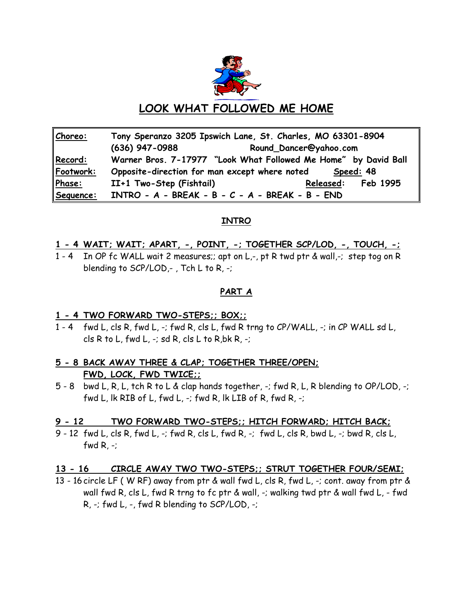

# **LOOK WHAT FOLLOWED ME HOME**

| Choreo:   | Tony Speranzo 3205 Ipswich Lane, St. Charles, MO 63301-8904 |                                                                 |
|-----------|-------------------------------------------------------------|-----------------------------------------------------------------|
|           | (636) 947-0988                                              | Round Dancer@yahoo.com                                          |
| Record:   |                                                             | Warner Bros. 7-17977 "Look What Followed Me Home" by David Ball |
| Footwork: | Opposite-direction for man except where noted<br>Speed: 48  |                                                                 |
| Phase:    | II+1 Two-Step (Fishtail)                                    | Released:<br>Feb 1995                                           |
| Sequence: | $INTRO - A - BREAK - B - C - A - BREAK - B - END$           |                                                                 |

## **INTRO**

#### **1 - 4 WAIT; WAIT; APART, -, POINT, -; TOGETHER SCP/LOD, -, TOUCH, -;**

1 - 4 In OP fc WALL wait 2 measures;; apt on L,-, pt R twd ptr & wall,-; step tog on R blending to SCP/LOD,-, Tch L to R, -;

#### **PART A**

#### **1 - 4 TWO FORWARD TWO-STEPS;; BOX;;**

1 - 4 fwd L, cls R, fwd L, -; fwd R, cls L, fwd R trng to CP/WALL, -; in CP WALL sd L, cls R to L, fwd L, -; sd R, cls L to R, bk R, -;

## **5 - 8 BACK AWAY THREE & CLAP; TOGETHER THREE/OPEN; FWD, LOCK, FWD TWICE;;**

5 - 8 bwd L, R, L, tch R to L & clap hands together, -; fwd R, L, R blending to OP/LOD, -; fwd L, lk RIB of L, fwd L, -; fwd R, lk LIB of R, fwd R, -;

#### **9 - 12 TWO FORWARD TWO-STEPS;; HITCH FORWARD; HITCH BACK;**

9 - 12 fwd L, cls R, fwd L, -; fwd R, cls L, fwd R, -; fwd L, cls R, bwd L, -; bwd R, cls L, fwd  $R, -;$ 

#### **13 - 16 CIRCLE AWAY TWO TWO-STEPS;; STRUT TOGETHER FOUR/SEMI;**

13 - 16 circle LF ( W RF) away from ptr & wall fwd L, cls R, fwd L, -; cont. away from ptr & wall fwd R, cls L, fwd R trng to fc ptr & wall, -; walking twd ptr & wall fwd L, - fwd R, -; fwd L, -, fwd R blending to SCP/LOD, -;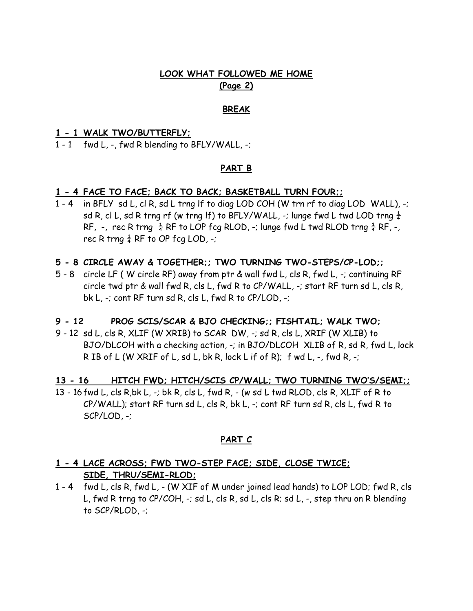## **LOOK WHAT FOLLOWED ME HOME (Page 2)**

#### **BREAK**

#### **1 - 1 WALK TWO/BUTTERFLY;**

1 - 1 fwd L, -, fwd R blending to BFLY/WALL, -;

#### **PART B**

#### **1 - 4 FACE TO FACE; BACK TO BACK; BASKETBALL TURN FOUR;;**

1 - 4 in BFLY sd L, cl R, sd L trng lf to diag LOD COH (W trn rf to diag LOD WALL), -; sd R, cl L, sd R trng rf (w trng lf) to BFLY/WALL, -; lunge fwd L twd LOD trng  $\frac{1}{4}$ RF, -, rec R trng  $\frac{1}{4}$  RF to LOP fcg RLOD, -; lunge fwd L twd RLOD trng  $\frac{1}{4}$  RF, -, rec R trng  $\frac{1}{4}$  RF to OP fcg LOD, -;

#### **5 - 8 CIRCLE AWAY & TOGETHER;; TWO TURNING TWO-STEPS/CP-LOD;;**

5 - 8 circle LF ( W circle RF) away from ptr & wall fwd L, cls R, fwd L, -; continuing RF circle twd ptr & wall fwd R, cls L, fwd R to CP/WALL, -; start RF turn sd L, cls R, bk L, -; cont RF turn sd R, cls L, fwd R to CP/LOD, -;

#### **9 - 12 PROG SCIS/SCAR & BJO CHECKING;; FISHTAIL; WALK TWO;**

9 - 12 sd L, cls R, XLIF (W XRIB) to SCAR DW, -; sd R, cls L, XRIF (W XLIB) to BJO/DLCOH with a checking action, -; in BJO/DLCOH XLIB of R, sd R, fwd L, lock R IB of L (W XRIF of L, sd L, bk R, lock L if of R); f wd L, -, fwd R, -;

#### **13 - 16 HITCH FWD; HITCH/SCIS CP/WALL; TWO TURNING TWO'S/SEMI;;**

13 - 16 fwd L, cls R,bk L, -; bk R, cls L, fwd R, - (w sd L twd RLOD, cls R, XLIF of R to CP/WALL); start RF turn sd L, cls R, bk L, -; cont RF turn sd R, cls L, fwd R to SCP/LOD, -;

#### **PART C**

## **1 - 4 LACE ACROSS; FWD TWO-STEP FACE; SIDE, CLOSE TWICE; SIDE, THRU/SEMI-RLOD;**

1 - 4 fwd L, cls R, fwd L, - (W XIF of M under joined lead hands) to LOP LOD; fwd R, cls L, fwd R trng to CP/COH, -; sd L, cls R, sd L, cls R; sd L, -, step thru on R blending to SCP/RLOD, -;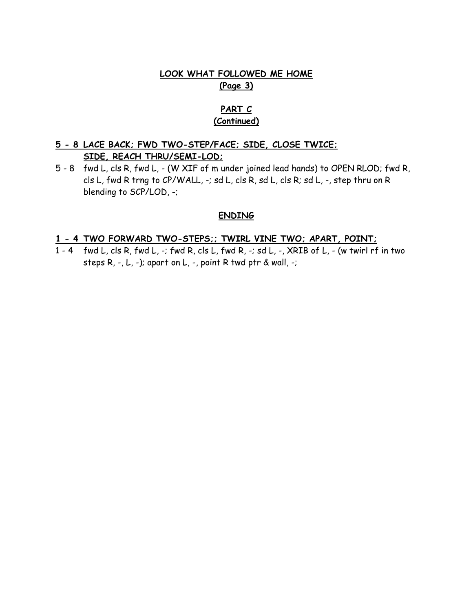## **LOOK WHAT FOLLOWED ME HOME (Page 3)**

## **PART C (Continued)**

## **5 - 8 LACE BACK; FWD TWO-STEP/FACE; SIDE, CLOSE TWICE; SIDE, REACH THRU/SEMI-LOD;**

5 - 8 fwd L, cls R, fwd L, - (W XIF of m under joined lead hands) to OPEN RLOD; fwd R, cls L, fwd R trng to CP/WALL, -; sd L, cls R, sd L, cls R; sd L, -, step thru on R blending to SCP/LOD, -;

## **ENDING**

## **1 - 4 TWO FORWARD TWO-STEPS;; TWIRL VINE TWO; APART, POINT;**

1 - 4 fwd L, cls R, fwd L, -; fwd R, cls L, fwd R, -; sd L, -, XRIB of L, - (w twirl rf in two steps R, -, L, -); apart on L, -, point R twd ptr & wall, -;